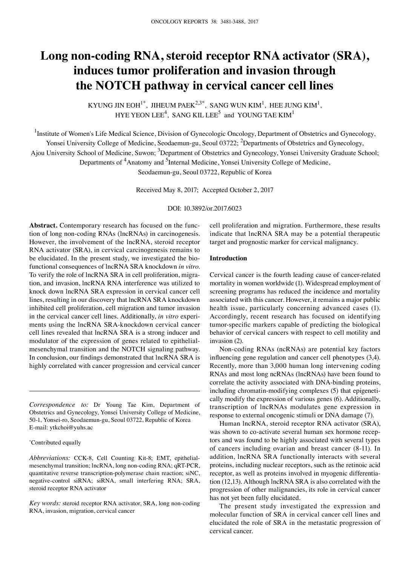# **Long non-coding RNA, steroid receptor RNA activator (SRA), induces tumor proliferation and invasion through the NOTCH pathway in cervical cancer cell lines**

KYUNG JIN EOH<sup>1\*</sup>, JIHEUM PAEK<sup>2,3\*</sup>, SANG WUN KIM<sup>1</sup>, HEE JUNG KIM<sup>1</sup>, HYE YEON LEE<sup>4</sup>, SANG KIL LEE<sup>5</sup> and YOUNG TAE KIM<sup>1</sup>

<sup>1</sup>Institute of Women's Life Medical Science, Division of Gynecologic Oncology, Department of Obstetrics and Gynecology,

Yonsei University College of Medicine, Seodaemun-gu, Seoul 03722; <sup>2</sup>Departments of Obstetrics and Gynecology,

Ajou University School of Medicine, Suwon; <sup>3</sup>Department of Obstetrics and Gynecology, Yonsei University Graduate School;

Departments of <sup>4</sup>Anatomy and <sup>5</sup>Internal Medicine, Yonsei University College of Medicine,

Seodaemun-gu, Seoul 03722, Republic of Korea

Received May 8, 2017; Accepted October 2, 2017

DOI: 10.3892/or.2017.6023

**Abstract.** Contemporary research has focused on the function of long non-coding RNAs (lncRNAs) in carcinogenesis. However, the involvement of the lncRNA, steroid receptor RNA activator (SRA), in cervical carcinogenesis remains to be elucidated. In the present study, we investigated the biofunctional consequences of lncRNA SRA knockdown *in vitro*. To verify the role of lncRNA SRA in cell proliferation, migration, and invasion, lncRNA RNA interference was utilized to knock down lncRNA SRA expression in cervical cancer cell lines, resulting in our discovery that lncRNA SRA knockdown inhibited cell proliferation, cell migration and tumor invasion in the cervical cancer cell lines. Additionally, *in vitro* experiments using the lncRNA SRA-knockdown cervical cancer cell lines revealed that lncRNA SRA is a strong inducer and modulator of the expression of genes related to epithelialmesenchymal transition and the NOTCH signaling pathway. In conclusion, our findings demonstrated that lncRNA SRA is highly correlated with cancer progression and cervical cancer

*Correspondence to:* Dr Young Tae Kim, Department of Obstetrics and Gynecology, Yonsei University College of Medicine, 50-1, Yonsei-ro, Seodaemun-gu, Seoul 03722, Republic of Korea E-mail: ytkchoi@yuhs.ac

#### \* Contributed equally

*Abbreviations:* CCK-8, Cell Counting Kit-8; EMT, epithelialmesenchymal transition; lncRNA, long non-coding RNA; qRT-PCR, quantitative reverse transcription-polymerase chain reaction; siNC, negative-control siRNA; siRNA, small interfering RNA; SRA, steroid receptor RNA activator

*Key words:* steroid receptor RNA activator, SRA, long non-coding RNA, invasion, migration, cervical cancer

cell proliferation and migration. Furthermore, these results indicate that lncRNA SRA may be a potential therapeutic target and prognostic marker for cervical malignancy.

## **Introduction**

Cervical cancer is the fourth leading cause of cancer-related mortality in women worldwide (1). Widespread employment of screening programs has reduced the incidence and mortality associated with this cancer. However, it remains a major public health issue, particularly concerning advanced cases (1). Accordingly, recent research has focused on identifying tumor-specific markers capable of predicting the biological behavior of cervical cancers with respect to cell motility and invasion (2).

Non-coding RNAs (ncRNAs) are potential key factors influencing gene regulation and cancer cell phenotypes (3,4). Recently, more than 3,000 human long intervening coding RNAs and most long ncRNAs (lncRNAs) have been found to correlate the activity associated with DNA-binding proteins, including chromatin-modifying complexes (5) that epigenetically modify the expression of various genes (6). Additionally, transcription of lncRNAs modulates gene expression in response to external oncogenic stimuli or DNA damage (7).

Human lncRNA, steroid receptor RNA activator (SRA), was shown to co-activate several human sex hormone receptors and was found to be highly associated with several types of cancers including ovarian and breast cancer (8-11). In addition, lncRNA SRA functionally interacts with several proteins, including nuclear receptors, such as the retinoic acid receptor, as well as proteins involved in myogenic differentiation (12,13). Although lncRNA SRA is also correlated with the progression of other malignancies, its role in cervical cancer has not yet been fully elucidated.

The present study investigated the expression and molecular function of SRA in cervical cancer cell lines and elucidated the role of SRA in the metastatic progression of cervical cancer.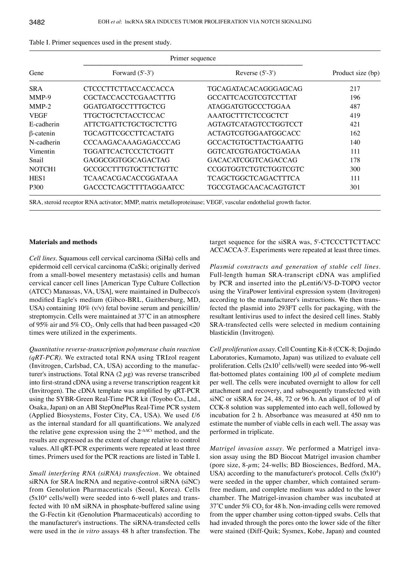| Gene               | Primer sequence                                                                                               |                              |                   |
|--------------------|---------------------------------------------------------------------------------------------------------------|------------------------------|-------------------|
|                    | Forward $(5'-3')$                                                                                             | Reverse $(5'-3')$            | Product size (bp) |
| <b>SRA</b>         | <b>CTCCCTTCTTACCACCACCA</b>                                                                                   | TGCAGATACACAGGGAGCAG         | 217               |
| MMP-9              | <b>CGCTACCACCTCGAACTTTG</b>                                                                                   | <b>GCCATTCACGTCGTCCTTAT</b>  | 196               |
| $MMP-2$            | <b>GGATGATGCCTTTGCTCG</b>                                                                                     | <b>ATAGGATGTGCCCTGGAA</b>    | 487               |
| <b>VEGF</b>        | <b>TTGCTGCTCTACCTCCAC</b>                                                                                     | AAATGCTTTCTCCGCTCT           | 419               |
| E-cadherin         | <b>ATTCTGATTCTGCTGCTCTTG</b>                                                                                  | AGTAGTCATAGTCCTGGTCCT        | 421               |
| $\beta$ -catenin   | TGCAGTTCGCCTTCACTATG                                                                                          | ACTAGTCGTGGAATGGCACC         | 162               |
| N-cadherin         | <b>CCCAAGACAAAGAGACCCAG</b>                                                                                   | <b>GCCACTGTGCTTACTGAATTG</b> | 140               |
| <b>Vimentin</b>    | TGGATTCACTCCCTCTGGTT                                                                                          | <b>GGTCATCGTGATGCTGAGAA</b>  | 111               |
| Snail              | GAGGCGGTGGCAGACTAG                                                                                            | <b>GACACATCGGTCAGACCAG</b>   | 178               |
| NOTCH <sub>1</sub> | GCCGCCTTTGTGCTTCTGTTC                                                                                         | CCGGTGGTCTGTCTGGTCGTC        | 300               |
| HES <sub>1</sub>   | TCAACACGACACCGGATAAA                                                                                          | <b>TCAGCTGGCTCAGACTTTCA</b>  | 111               |
| P300               | <b>GACCCTCAGCTTTTAGGAATCC</b>                                                                                 | TGCCGTAGCAACACAGTGTCT        | 301               |
|                    | SRA, steroid receptor RNA activator; MMP, matrix metalloproteinase; VEGF, vascular endothelial growth factor. |                              |                   |

| Table I. Primer sequences used in the present study. |  |
|------------------------------------------------------|--|
|------------------------------------------------------|--|

## **Materials and methods**

*Cell lines.* Squamous cell cervical carcinoma (SiHa) cells and epidermoid cell cervical carcinoma (CaSki; originally derived from a small-bowel mesentery metastasis) cells and human cervical cancer cell lines [American Type Culture Collection (ATCC) Manassas, VA, USA], were maintained in Dulbecco's modified Eagle's medium (Gibco-BRL, Gaithersburg, MD, USA) containing 10% (v/v) fetal bovine serum and penicillin/ streptomycin. Cells were maintained at 37̊C in an atmosphere of 95% air and 5%  $CO<sub>2</sub>$ . Only cells that had been passaged <20 times were utilized in the experiments.

*Quantitative reverse-transcription polymerase chain reaction (qRT-PCR).* We extracted total RNA using TRIzol reagent (Invitrogen, Carlsbad, CA, USA) according to the manufacturer's instructions. Total RNA  $(2 \mu g)$  was reverse transcribed into first-strand cDNA using a reverse transcription reagent kit (Invitrogen). The cDNA template was amplified by qRT-PCR using the SYBR-Green Real-Time PCR kit (Toyobo Co., Ltd., Osaka, Japan) on an ABI StepOnePlus Real-Time PCR system (Applied Biosystems, Foster City, CA, USA). We used *U6* as the internal standard for all quantifications. We analyzed the relative gene expression using the  $2-\Delta\Delta$ Ct method, and the results are expressed as the extent of change relative to control values. All qRT-PCR experiments were repeated at least three times. Primers used for the PCR reactions are listed in Table I.

*Small interfering RNA (siRNA) transfection.* We obtained siRNA for SRA lncRNA and negative-control siRNA (siNC) from Genolution Pharmaceuticals (Seoul, Korea). Cells  $(5x10<sup>4</sup>$  cells/well) were seeded into 6-well plates and transfected with 10 nM siRNA in phosphate-buffered saline using the G-Fectin kit (Genolution Pharmaceuticals) according to the manufacturer's instructions. The siRNA-transfected cells were used in the *in vitro* assays 48 h after transfection. The target sequence for the siSRA was, 5'-CTCCCTTCTTACC ACCACCA-3'. Experiments were repeated at least three times.

*Plasmid constructs and generation of stable cell lines.*  Full-length human SRA-transcript cDNA was amplified by PCR and inserted into the pLenti6/V5-D-TOPO vector using the ViraPower lentiviral expression system (Invitrogen) according to the manufacturer's instructions. We then transfected the plasmid into 293FT cells for packaging, with the resultant lentivirus used to infect the desired cell lines. Stably SRA-transfected cells were selected in medium containing blasticidin (Invitrogen).

*Cell proliferation assay.* Cell Counting Kit-8 (CCK-8; Dojindo Laboratories, Kumamoto, Japan) was utilized to evaluate cell proliferation. Cells  $(2x10<sup>3</sup>$  cells/well) were seeded into 96-well flat-bottomed plates containing 100  $\mu$ l of complete medium per well. The cells were incubated overnight to allow for cell attachment and recovery, and subsequently transfected with siNC or siSRA for 24, 48, 72 or 96 h. An aliquot of 10  $\mu$ l of CCK-8 solution was supplemented into each well, followed by incubation for 2 h. Absorbance was measured at 450 nm to estimate the number of viable cells in each well. The assay was performed in triplicate.

*Matrigel invasion assay.* We performed a Matrigel invasion assay using the BD Biocoat Matrigel invasion chamber (pore size, 8-µm; 24-wells; BD Biosciences, Bedford, MA, USA) according to the manufacturer's protocol. Cells  $(5x10<sup>4</sup>)$ were seeded in the upper chamber, which contained serumfree medium, and complete medium was added to the lower chamber. The Matrigel-invasion chamber was incubated at  $37^{\circ}$ C under 5% CO<sub>2</sub> for 48 h. Non-invading cells were removed from the upper chamber using cotton-tipped swabs. Cells that had invaded through the pores onto the lower side of the filter were stained (Diff-Quik; Sysmex, Kobe, Japan) and counted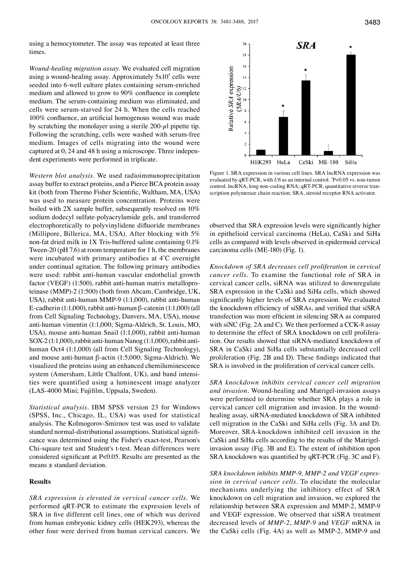using a hemocytometer. The assay was repeated at least three times.

*Wound-healing migration assay.* We evaluated cell migration using a wound-healing assay. Approximately  $5x10<sup>5</sup>$  cells were seeded into 6-well culture plates containing serum-enriched medium and allowed to grow to 90% confluence in complete medium. The serum-containing medium was eliminated, and cells were serum-starved for 24 h. When the cells reached 100% confluence, an artificial homogenous wound was made by scratching the monolayer using a sterile  $200-\mu l$  pipette tip. Following the scratching, cells were washed with serum-free medium. Images of cells migrating into the wound were captured at 0, 24 and 48 h using a microscope. Three independent experiments were performed in triplicate.

*Western blot analysis.* We used radioimmunoprecipitation assay buffer to extract proteins, and a Pierce BCA protein assay kit (both from Thermo Fisher Scientific, Waltham, MA, USA) was used to measure protein concentration. Proteins were boiled with 2X sample buffer, subsequently resolved on 10% sodium dodecyl sulfate-polyacrylamide gels, and transferred electrophoretically to polyvinylidene difluoride membranes (Millipore, Billerica, MA, USA). After blocking with 5% non-fat dried milk in 1X Tris-buffered saline containing 0.1% Tween-20 (pH 7.6) at room temperature for 1 h, the membranes were incubated with primary antibodies at 4̊C overnight under continual agitation. The following primary antibodies were used: rabbit anti-human vascular endothelial growth factor (VEGF) (1:500), rabbit anti-human matrix metalloproteinase (MMP)-2 (1:500) (both from Abcam, Cambridge, UK, USA), rabbit anti-human MMP-9 (1:1,000), rabbit anti-human E-cadherin (1:1,000), rabbit anti-human β-catenin (1:1,000) (all from Cell Signaling Technology, Danvers, MA, USA), mouse anti-human vimentin (1:1,000; Sigma-Aldrich, St. Louis, MO, USA), mouse anti-human Snail (1:1,000), rabbit anti-human SOX-2 (1:1,000), rabbit anti-human Nanog (1:1,000), rabbit antihuman Oct4 (1:1,000) (all from Cell Signaling Technology), and mouse anti-human β-actin (1:5,000; Sigma-Aldrich). We visualized the proteins using an enhanced chemiluminescence system (Amersham, Little Chalfont, UK), and band intensities were quantified using a luminescent image analyzer (LAS‑4000 Mini; Fujifilm, Uppsala, Sweden).

*Statistical analysis.* IBM SPSS version 23 for Windows (SPSS, Inc., Chicago, IL, USA) was used for statistical analysis. The Kolmogorov-Smirnov test was used to validate standard normal-distributional assumptions. Statistical significance was determined using the Fisher's exact-test, Pearson's Chi-square test and Student's t-test. Mean differences were considered significant at P<0.05. Results are presented as the means ± standard deviation.

# **Results**

*SRA expression is elevated in cervical cancer cells.* We performed qRT-PCR to estimate the expression levels of SRA in five different cell lines, one of which was derived from human embryonic kidney cells (HEK293), whereas the other four were derived from human cervical cancers. We



Figure 1. SRA expression in various cell lines. SRA lncRNA expression was evaluated by qRT-PCR, with *U6* as an internal control. \* P<0.05 vs. non-tumor control. lncRNA, long non-coding RNA; qRT-PCR, quantitative reverse transcription polymerase chain reaction; SRA, steroid receptor RNA activator.

observed that SRA expression levels were significantly higher in epithelioid cervical carcinoma (HeLa), CaSki and SiHa cells as compared with levels observed in epidermoid cervical carcinoma cells (ME-180) (Fig. 1).

*Knockdown of SRA decreases cell proliferation in cervical cancer cells.* To examine the functional role of SRA in cervical cancer cells, siRNA was utilized to downregulate SRA expression in the CaSki and SiHa cells, which showed significantly higher levels of SRA expression. We evaluated the knockdown efficiency of siSRAs, and verified that siSRA transfection was more efficient in silencing SRA as compared with siNC (Fig. 2A and C). We then performed a CCK-8 assay to determine the effect of SRA knockdown on cell proliferation. Our results showed that siRNA-mediated knockdown of SRA in CaSki and SiHa cells substantially decreased cell proliferation (Fig. 2B and D). These findings indicated that SRA is involved in the proliferation of cervical cancer cells.

*SRA knockdown inhibits cervical cancer cell migration and invasion.* Wound-healing and Matrigel-invasion assays were performed to determine whether SRA plays a role in cervical cancer cell migration and invasion. In the woundhealing assay, siRNA-mediated knockdown of SRA inhibited cell migration in the CaSki and SiHa cells (Fig. 3A and D). Moreover, SRA-knockdown inhibited cell invasion in the CaSki and SiHa cells according to the results of the Matrigelinvasion assay (Fig. 3B and E). The extent of inhibition upon SRA knockdown was quantified by qRT-PCR (Fig. 3C and F).

*SRA knockdown inhibits MMP-9, MMP-2 and VEGF expression in cervical cancer cells.* To elucidate the molecular mechanisms underlying the inhibitory effect of SRA knockdown on cell migration and invasion, we explored the relationship between SRA expression and MMP-2, MMP-9 and VEGF expression. We observed that siSRA treatment decreased levels of *MMP-2*, *MMP-9* and *VEGF* mRNA in the CaSki cells (Fig. 4A) as well as MMP-2, MMP-9 and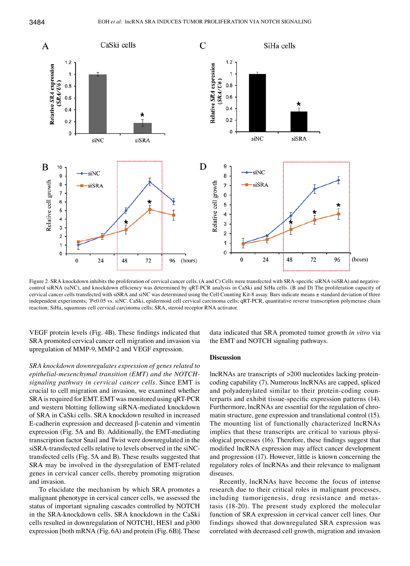

Figure 2. SRA knockdown inhibits the proliferation of cervical cancer cells. (A and C) Cells were transfected with SRA-specific siRNA (siSRA) and negativecontrol siRNA (siNC), and knockdown efficiency was determined by qRT-PCR analysis in CaSki and SiHa cells. (B and D) The proliferation capacity of cervical cancer cells transfected with siSRA and siNC was determined using the Cell Counting Kit-8 assay. Bars indicate means ± standard deviation of three independent experiments; \* P<0.05 vs. siNC. CaSki, epidermoid cell cervical carcinoma cells; qRT-PCR, quantitative reverse transcription polymerase chain reaction; SiHa, squamous cell cervical carcinoma cells; SRA, steroid receptor RNA activator.

VEGF protein levels (Fig. 4B). These findings indicated that SRA promoted cervical cancer cell migration and invasion via upregulation of MMP-9, MMP-2 and VEGF expression.

*SRA knockdown downregulates expression of genes related to epithelial-mesenchymal transition (EMT) and the NOTCHsignaling pathway in cervical cancer cells.* Since EMT is crucial to cell migration and invasion, we examined whether SRA is required for EMT. EMT was monitored using qRT-PCR and western blotting following siRNA-mediated knockdown of SRA in CaSki cells. SRA knockdown resulted in increased E-cadherin expression and decreased β-catenin and vimentin expression (Fig. 5A and B). Additionally, the EMT-mediating transcription factor Snail and Twist were downregulated in the siSRA-transfected cells relative to levels observed in the siNCtransfected cells (Fig. 5A and B). These results suggested that SRA may be involved in the dysregulation of EMT-related genes in cervical cancer cells, thereby promoting migration and invasion.

To elucidate the mechanism by which SRA promotes a malignant phenotype in cervical cancer cells, we assessed the status of important signaling cascades controlled by NOTCH in the SRA-knockdown cells. SRA knockdown in the CaSki cells resulted in downregulation of NOTCH1, HES1 and p300 expression [both mRNA (Fig. 6A) and protein (Fig. 6B)]. These data indicated that SRA promoted tumor growth *in vitro* via the EMT and NOTCH signaling pathways.

#### **Discussion**

lncRNAs are transcripts of >200 nucleotides lacking proteincoding capability (7). Numerous lncRNAs are capped, spliced and polyadenylated similar to their protein-coding counterparts and exhibit tissue-specific expression patterns (14). Furthermore, lncRNAs are essential for the regulation of chromatin structure, gene expression and translational control (15). The mounting list of functionally characterized lncRNAs implies that these transcripts are critical to various physiological processes (16). Therefore, these findings suggest that modified lncRNA expression may affect cancer development and progression (17). However, little is known concerning the regulatory roles of lncRNAs and their relevance to malignant diseases.

Recently, lncRNAs have become the focus of intense research due to their critical roles in malignant processes, including tumorigenesis, drug resistance and metastasis (18-20). The present study explored the molecular function of SRA expression in cervical cancer cell lines. Our findings showed that downregulated SRA expression was correlated with decreased cell growth, migration and invasion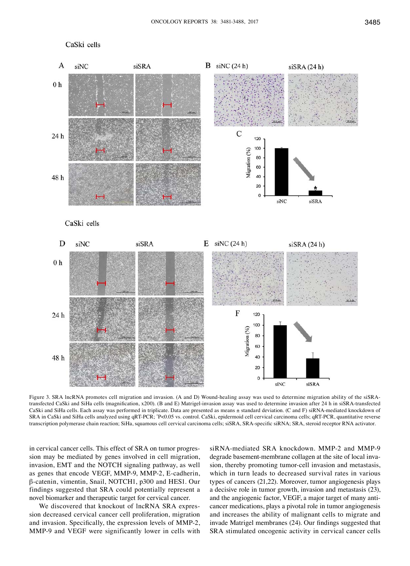# CaSki cells



Figure 3. SRA lncRNA promotes cell migration and invasion. (A and D) Wound-healing assay was used to determine migration ability of the siSRAtransfected CaSki and SiHa cells (magnification, x200). (B and E) Matrigel-invasion assay was used to determine invasion after 24 h in siSRA-transfected CaSki and SiHa cells. Each assay was performed in triplicate. Data are presented as means ± standard deviation. (C and F) siRNA-mediated knockdown of SRA in CaSki and SiHa cells analyzed using qRT-PCR; \* P<0.05 vs. control. CaSki, epidermoid cell cervical carcinoma cells; qRT-PCR, quantitative reverse transcription polymerase chain reaction; SiHa, squamous cell cervical carcinoma cells; siSRA, SRA-specific siRNA; SRA, steroid receptor RNA activator.

in cervical cancer cells. This effect of SRA on tumor progression may be mediated by genes involved in cell migration, invasion, EMT and the NOTCH signaling pathway, as well as genes that encode VEGF, MMP-9, MMP-2, E-cadherin, β-catenin, vimentin, Snail, NOTCH1, p300 and HES1. Our findings suggested that SRA could potentially represent a novel biomarker and therapeutic target for cervical cancer.

We discovered that knockout of lncRNA SRA expression decreased cervical cancer cell proliferation, migration and invasion. Specifically, the expression levels of MMP-2, MMP-9 and VEGF were significantly lower in cells with

siRNA-mediated SRA knockdown. MMP-2 and MMP-9 degrade basement-membrane collagen at the site of local invasion, thereby promoting tumor-cell invasion and metastasis, which in turn leads to decreased survival rates in various types of cancers (21,22). Moreover, tumor angiogenesis plays a decisive role in tumor growth, invasion and metastasis (23), and the angiogenic factor, VEGF, a major target of many anticancer medications, plays a pivotal role in tumor angiogenesis and increases the ability of malignant cells to migrate and invade Matrigel membranes (24). Our findings suggested that SRA stimulated oncogenic activity in cervical cancer cells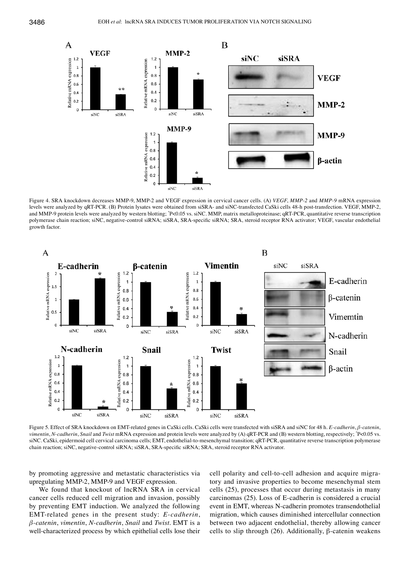

Figure 4. SRA knockdown decreases MMP-9, MMP-2 and VEGF expression in cervical cancer cells. (A) *VEGF*, *MMP-2* and *MMP-9* mRNA expression levels were analyzed by qRT-PCR. (B) Protein lysates were obtained from siSRA- and siNC-transfected CaSki cells 48-h post-transfection. VEGF, MMP-2, and MMP-9 protein levels were analyzed by western blotting; \* P<0.05 vs. siNC. MMP, matrix metalloproteinase; qRT-PCR, quantitative reverse transcription polymerase chain reaction; siNC, negative-control siRNA; siSRA, SRA-specific siRNA; SRA, steroid receptor RNA activator; VEGF, vascular endothelial growth factor.



Figure 5. Effect of SRA knockdown on EMT-related genes in CaSki cells. CaSki cells were transfected with siSRA and siNC for 48 h. *E-cadherin*, *β-catenin*, vimentin, N-cadherin, Snail and Twist mRNA expression and protein levels were analyzed by (A) qRT-PCR and (B) western blotting, respectively;  $P$ <0.05 vs. siNC. CaSki, epidermoid cell cervical carcinoma cells; EMT, endothelial-to-mesenchymal transition; qRT-PCR, quantitative reverse transcription polymerase chain reaction; siNC, negative-control siRNA; siSRA, SRA-specific siRNA; SRA, steroid receptor RNA activator.

by promoting aggressive and metastatic characteristics via upregulating MMP-2, MMP-9 and VEGF expression.

We found that knockout of lncRNA SRA in cervical cancer cells reduced cell migration and invasion, possibly by preventing EMT induction. We analyzed the following EMT-related genes in the present study: *E-cadherin*, *β-catenin*, *vimentin*, *N-cadherin*, *Snail* and *Twist*. EMT is a well-characterized process by which epithelial cells lose their cell polarity and cell-to-cell adhesion and acquire migratory and invasive properties to become mesenchymal stem cells (25), processes that occur during metastasis in many carcinomas (25). Loss of E-cadherin is considered a crucial event in EMT, whereas N-cadherin promotes transendothelial migration, which causes diminished intercellular connection between two adjacent endothelial, thereby allowing cancer cells to slip through (26). Additionally, β-catenin weakens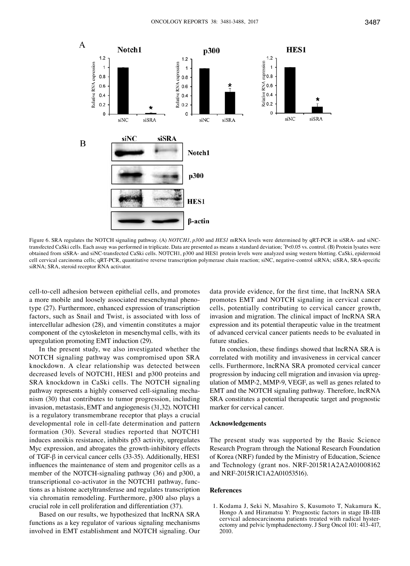

Figure 6. SRA regulates the NOTCH signaling pathway. (A) *NOTCH1*, *p300* and *HES1* mRNA levels were determined by qRT-PCR in siSRA- and siNCtransfected CaSki cells. Each assay was performed in triplicate. Data are presented as means ± standard deviation; \* P<0.05 vs. control. (B) Protein lysates were obtained from siSRA- and siNC-transfected CaSki cells. NOTCH1, p300 and HES1 protein levels were analyzed using western blotting. CaSki, epidermoid cell cervical carcinoma cells; qRT-PCR, quantitative reverse transcription polymerase chain reaction; siNC, negative-control siRNA; siSRA, SRA-specific siRNA; SRA, steroid receptor RNA activator.

cell-to-cell adhesion between epithelial cells, and promotes a more mobile and loosely associated mesenchymal phenotype (27). Furthermore, enhanced expression of transcription factors, such as Snail and Twist, is associated with loss of intercellular adhesion (28), and vimentin constitutes a major component of the cytoskeleton in mesenchymal cells, with its upregulation promoting EMT induction (29).

In the present study, we also investigated whether the NOTCH signaling pathway was compromised upon SRA knockdown. A clear relationship was detected between decreased levels of NOTCH1, HES1 and p300 proteins and SRA knockdown in CaSki cells. The NOTCH signaling pathway represents a highly conserved cell-signaling mechanism (30) that contributes to tumor progression, including invasion, metastasis, EMT and angiogenesis (31,32). NOTCH1 is a regulatory transmembrane receptor that plays a crucial developmental role in cell-fate determination and pattern formation (30). Several studies reported that NOTCH1 induces anoikis resistance, inhibits p53 activity, upregulates Myc expression, and abrogates the growth-inhibitory effects of TGF-β in cervical cancer cells (33-35). Additionally, HES1 influences the maintenance of stem and progenitor cells as a member of the NOTCH-signaling pathway (36) and p300, a transcriptional co-activator in the NOTCH1 pathway, functions as a histone acetyltransferase and regulates transcription via chromatin remodeling. Furthermore, p300 also plays a crucial role in cell proliferation and differentiation (37).

Based on our results, we hypothesized that lncRNA SRA functions as a key regulator of various signaling mechanisms involved in EMT establishment and NOTCH signaling. Our data provide evidence, for the first time, that lncRNA SRA promotes EMT and NOTCH signaling in cervical cancer cells, potentially contributing to cervical cancer growth, invasion and migration. The clinical impact of lncRNA SRA expression and its potential therapeutic value in the treatment of advanced cervical cancer patients needs to be evaluated in future studies.

In conclusion, these findings showed that lncRNA SRA is correlated with motility and invasiveness in cervical cancer cells. Furthermore, lncRNA SRA promoted cervical cancer progression by inducing cell migration and invasion via upregulation of MMP-2, MMP-9, VEGF, as well as genes related to EMT and the NOTCH signaling pathway. Therefore, lncRNA SRA constitutes a potential therapeutic target and prognostic marker for cervical cancer.

#### **Acknowledgements**

The present study was supported by the Basic Science Research Program through the National Research Foundation of Korea (NRF) funded by the Ministry of Education, Science and Technology (grant nos. NRF-2015R1A2A2A01008162 and NRF-2015R1C1A2A01053516).

#### **References**

1. Kodama J, Seki N, Masahiro S, Kusumoto T, Nakamura K, Hongo A and Hiramatsu Y: Prognostic factors in stage IB-IIB cervical adenocarcinoma patients treated with radical hysterectomy and pelvic lymphadenectomy. J Surg Oncol 101: 413-417, 2010.